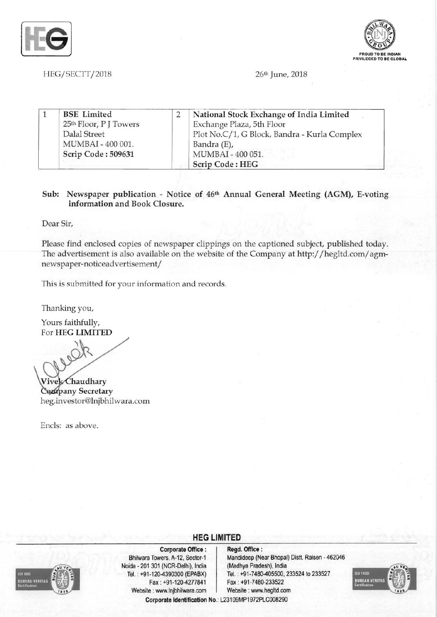



BEGI SECTT*12018* 26th June, 2018

|  | <b>BSE</b> Limited                 | National Stock Exchange of India Limited     |
|--|------------------------------------|----------------------------------------------|
|  | 25 <sup>th</sup> Floor, P J Towers | Exchange Plaza, 5th Floor                    |
|  | Dalal Street                       | Plot No.C/1, G Block, Bandra - Kurla Complex |
|  | MUMBAI - 400 001.                  | Bandra (E),                                  |
|  | Scrip Code: 509631                 | MUMBAI-400 051.                              |
|  |                                    | Scrip Code: HEG                              |

### Sub: Newspaper publication - Notice of 46th Annual General Meeting (AGM), E-voting information and Book Closure.

Dear Sir,

Please find enclosed copies of newspaper clippings on the captioned subject, published today. The advertisement is also available on the website of the Company at http://hegltd.com/ agmnewspaper-noticeadvertisement/

This is submitted for your information and records.

Thanking you,

Yours faithfully, For **HEG LIMITED** 

**S/C** 

Vivek Chaudhary Company Secretary heg.investor@lnjbhilwara.com

Encls: as above.



Corporate Office: | Regd. Office: Noida 201 301 (NCR-Delhi), India (Madhya Pradesh), India Fax: +91-120-4277841 Fax: +91-7480-233522 Website: www.lnjbhilwara.com | Website: www.hegltd.com

## **HEG LIMITED**

Bhilwara Towers, A-12, Sector-1 Mandideep (Near Bhopal) Distt. Raisen - 462046 Tel. : +91-120-4390300 (EPABX) Tel. : +91-7480-405500, 233524 to 233527 Corporate Identification No.: L23109MP1972PLC008290

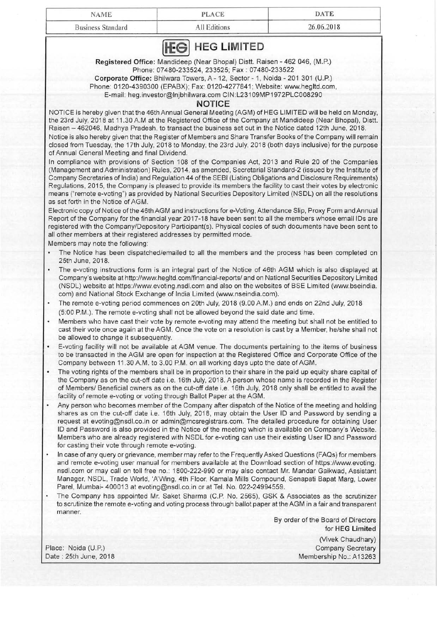| <b>Business Standard</b> | All Editions | 26.06.2018 |
|--------------------------|--------------|------------|
|--------------------------|--------------|------------|

Registered Office: Mandideep (Near Bhopal) Distt. Raisen - 462 046, (M.P.) Phone: 07480-233524, 233525; Fax: 07480-233522

Corporate Office: Bhilwara Towers, A - 12, Sector - 1, Noida - 201 301 (U.P.) Phone: 0120-4390300 (EPABX); Fax: 0120-4277841; Website: www.hegltd.com,

E-mail: heg.investor@lnjbhilwara.com CIN:L231 09MP1972PLC008290

#### **NOTICE**

NOTICE is hereby given that the 46th Annual General Meeting (AGM) of HEG LIMITED will be held on Monday, the 23rd July, 2018 at 11.30 A.M at the Registered Office of the Company at Mandideep (Near Bhopal), Distt. Raisen - 462046, Madhya Pradesh, to transact the business set out in the Notice dated 12th June, 2018.

Notice is also hereby given that the Register of Members and Share Transfer Books of the Company will remain closed from Tuesday, the 17th July, 2018 to Monday, the 23rd July, 2018 (both days inclusive) for the purpose of Annual General Meeting and final Dividend.

In compliance with provisions of Section 108 of the Companies Act, 2013 and Rule 20 of the Companies (Management and Administration) Rules, 2014, as amended, Secretarial Standard-2 (issued by the Institute of Company Secretaries of India) and Regulation 44 of the SEBI (Listing Obligations and Disclosure Requirements) Regulations, 2015, the Company is pleased to provide its members the facility to cast their votes by electronic means ("remote e-voting") as provided by National Securities Depository Limited (NSDL) on all the resolutions as set forth in the Notice of AGM.

Electronic copy of Notice of the 46th AGM and instructions for e-Voting, Attendance Slip, Proxy Form and Annual Report of the Company for the financial year 2017-18 have been sent to all the members whose email IDs are registered with the Company/Depository Participant(s). Physical copies of such documents have been sent to all other members at their registered addresses by permitted mode.

Members may note the following:

- The Notice has been dispatched/emailed to all the members and the process has been completed on 25th June, 2018.
- The e-voting instructions form is an integral part of the Notice of 46th AGM which is also displayed at Company's website at http://www.hegltd.com/financial-reports/ and on National Securities Depository Limited (NSDL) website at https://www.evoting.nsdl.com and also on the websites of BSE Limited (www.bseindia. com) and National Stock Exchange of India Limited (www.nseindia.com).
- The remote e-voting period commences on 20th July, 2018 (9 .00 A.M.) and ends on 22nd July, 2018 (5:00 P.M.). The remote e-voting shall not be allowed beyond the said date and time.
- Members who have cast their vote by remote e-voting may attend the meeting but shall not be entitled to cast their vote once again at the AGM. Once the vote on a resolution is cast by a Member, he/she shall not be allowed to change it subsequently.
- E-voting facility will not be available at AGM venue. The documents pertaining to the items of business to be transacted in the AGM are open for inspection at the Registered Office and Corporate Office of the Company between 11.30 AM. to 3.00 P.M. on all working days upto the date of AGM.
- The voting rights of the members shall be in proportion to their share in the paid up equity share capital of the Company as on the cut-off date i.e. 16th July, 2018. A person whose name is recorded in the Register of Members/ Beneficial owners as on the cut-off date i.e. 16th July, 2018 only shall be entitled to avail the facility of remote e-voting or voting through Ballot Paper at the AGM.
- Any person who becomes member of the Company after dispatch of the Notice of the meeting and holding shares as on the cut-off date i.e. 16th July, 2018, may obtain the User 10 and Password by sending a request at evoting@nsdl.co.in or admin@mcsregistrars.com. The detailed procedure for obtaining User 10 and Password is also provided in the Notice of the meeting which is available on Company's Website. Members who are already registered with NSDL for e-voting can use their existing User 10 and Password for casting their vote through remote e-voting.
- In case of any query or grievance, member may refer to the Frequently Asked Questions (FAQs) for members and remote e-voting user manual for members available at the Download section of https://www.evoting. nsdl.com or may call on toll free no.: 1800-222-990 or may also contact Mr. Mandar Gaikwad, Assistant Manager, NSDL, Trade World, 'A'Wing, 4th Floor, Kamala Mills Compound, Senapati Bapat Marg, Lower Parel, Mumbai- 400013 at evoting@nsdl.co.in or at Tel. No. 022-24994559.
- The Company has appointed Mr. Saket Sharma (C.P. No. 2565), GSK & Associates as the scrutinizer to scrutinize the remote e-voting and voting process through ballot paper at the AGM in a fair and transparent manner.

By order of the Board of Directors for **HEG** Limited

(Vivek Chaudhary) Place: Noida (U.P.) Company Secretary Company Secretary Date: 25th June, 2018 Membership No.: A13263